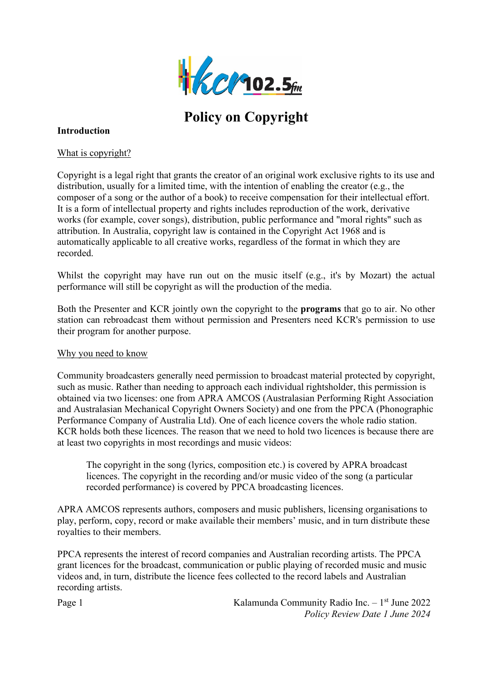

# **Policy on Copyright**

## **Introduction**

#### What is copyright?

Copyright is a legal right that grants the creator of an original work exclusive rights to its use and distribution, usually for a limited time, with the intention of enabling the creator (e.g., the composer of a song or the author of a book) to receive compensation for their intellectual effort. It is a form of intellectual property and rights includes reproduction of the work, derivative works (for example, cover songs), distribution, public performance and "moral rights" such as attribution. In Australia, copyright law is contained in the Copyright Act 1968 and is automatically applicable to all creative works, regardless of the format in which they are recorded.

Whilst the copyright may have run out on the music itself (e.g., it's by Mozart) the actual performance will still be copyright as will the production of the media.

Both the Presenter and KCR jointly own the copyright to the **programs** that go to air. No other station can rebroadcast them without permission and Presenters need KCR's permission to use their program for another purpose.

## Why you need to know

Community broadcasters generally need permission to broadcast material protected by copyright, such as music. Rather than needing to approach each individual rightsholder, this permission is obtained via two licenses: one from APRA AMCOS (Australasian Performing Right Association and Australasian Mechanical Copyright Owners Society) and one from the PPCA (Phonographic Performance Company of Australia Ltd). One of each licence covers the whole radio station. KCR holds both these licences. The reason that we need to hold two licences is because there are at least two copyrights in most recordings and music videos:

The copyright in the song (lyrics, composition etc.) is covered by APRA broadcast licences. The copyright in the recording and/or music video of the song (a particular recorded performance) is covered by PPCA broadcasting licences.

APRA AMCOS represents authors, composers and music publishers, licensing organisations to play, perform, copy, record or make available their members' music, and in turn distribute these royalties to their members.

PPCA represents the interest of record companies and Australian recording artists. The PPCA grant licences for the broadcast, communication or public playing of recorded music and music videos and, in turn, distribute the licence fees collected to the record labels and Australian recording artists.

Page 1 Kalamunda Community Radio Inc. – 1<sup>st</sup> June 2022 *Policy Review Date 1 June 2024*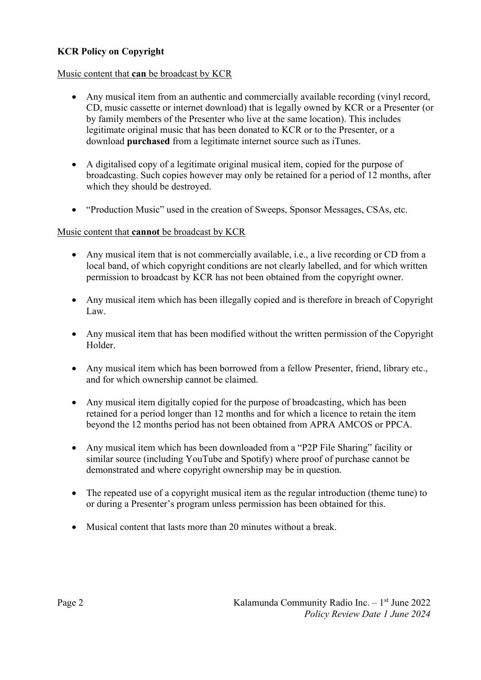## **KCR Policy on Copyright**

## Music content that **can** be broadcast by KCR

- Any musical item from an authentic and commercially available recording (vinyl record, CD, music cassette or internet download) that is legally owned by KCR or a Presenter (or by family members of the Presenter who live at the same location). This includes legitimate original music that has been donated to KCR or to the Presenter, or a download **purchased** from a legitimate internet source such as iTunes.
- A digitalised copy of a legitimate original musical item, copied for the purpose of broadcasting. Such copies however may only be retained for a period of 12 months, after which they should be destroyed.
- "Production Music" used in the creation of Sweeps, Sponsor Messages, CSAs, etc.

#### Music content that **cannot** be broadcast by KCR

- Any musical item that is not commercially available, i.e., a live recording or CD from a local band, of which copyright conditions are not clearly labelled, and for which written permission to broadcast by KCR has not been obtained from the copyright owner.
- Any musical item which has been illegally copied and is therefore in breach of Copyright Law.
- Any musical item that has been modified without the written permission of the Copyright Holder.
- Any musical item which has been borrowed from a fellow Presenter, friend, library etc., and for which ownership cannot be claimed.
- Any musical item digitally copied for the purpose of broadcasting, which has been retained for a period longer than 12 months and for which a licence to retain the item beyond the 12 months period has not been obtained from APRA AMCOS or PPCA.
- Any musical item which has been downloaded from a "P2P File Sharing" facility or similar source (including YouTube and Spotify) where proof of purchase cannot be demonstrated and where copyright ownership may be in question.
- The repeated use of a copyright musical item as the regular introduction (theme tune) to or during a Presenter's program unless permission has been obtained for this.
- Musical content that lasts more than 20 minutes without a break.